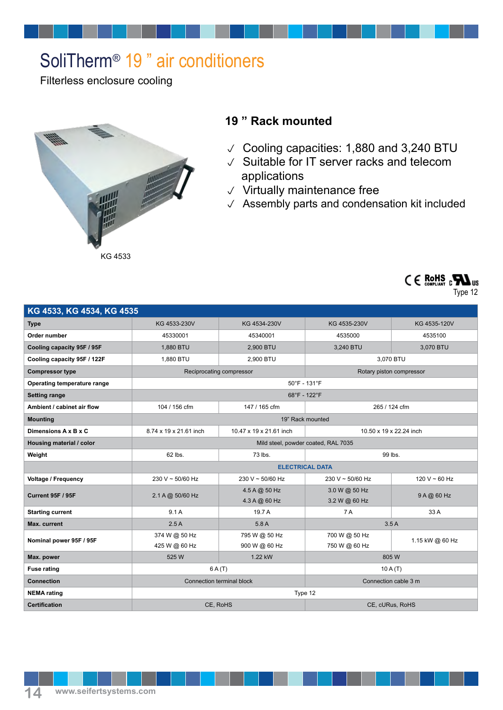## SoliTherm® 19 " air conditioners

Filterless enclosure cooling



## **19 " Rack mounted**

- Cooling capacities: 1,880 and 3,240 BTU
- $\vee$  Suitable for IT server racks and telecom applications
- $\vee$  Virtually maintenance free
- $\sqrt{\phantom{a}}$  Assembly parts and condensation kit included



| KG 4533, KG 4534, KG 4535   |                                     |                                |                                |                 |
|-----------------------------|-------------------------------------|--------------------------------|--------------------------------|-----------------|
| <b>Type</b>                 | KG 4533-230V                        | KG 4534-230V                   | KG 4535-230V                   | KG 4535-120V    |
| Order number                | 45330001                            | 45340001                       | 4535000                        | 4535100         |
| Cooling capacity 95F / 95F  | 1,880 BTU                           | 2,900 BTU                      | 3,240 BTU                      | 3,070 BTU       |
| Cooling capacity 95F / 122F | 1,880 BTU                           | 2,900 BTU                      | 3,070 BTU                      |                 |
| <b>Compressor type</b>      | Reciprocating compressor            |                                | Rotary piston compressor       |                 |
| Operating temperature range | 50°F - 131°F                        |                                |                                |                 |
| <b>Setting range</b>        | 68°F - 122°F                        |                                |                                |                 |
| Ambient / cabinet air flow  | 104 / 156 cfm                       | 147 / 165 cfm                  | 265 / 124 cfm                  |                 |
| <b>Mounting</b>             | 19" Rack mounted                    |                                |                                |                 |
| Dimensions A x B x C        | 8.74 x 19 x 21.61 inch              | 10.47 x 19 x 21.61 inch        | 10.50 x 19 x 22.24 inch        |                 |
| Housing material / color    | Mild steel, powder coated, RAL 7035 |                                |                                |                 |
| Weight                      | 62 lbs.                             | 73 lbs.                        | 99 lbs.                        |                 |
|                             | <b>ELECTRICAL DATA</b>              |                                |                                |                 |
| Voltage / Frequency         | 230 V ~ 50/60 Hz                    | $230 V \sim 50/60 Hz$          | $230 V \sim 50/60 Hz$          | 120 V ~ 60 Hz   |
| <b>Current 95F / 95F</b>    | 2.1 A @ 50/60 Hz                    | 4.5 A @ 50 Hz<br>4.3 A @ 60 Hz | 3.0 W @ 50 Hz<br>3.2 W @ 60 Hz | 9 A @ 60 Hz     |
| <b>Starting current</b>     | 9.1A                                | 19.7 A                         | 7 A                            | 33 A            |
| Max. current                | 2.5A                                | 5.8A                           | 3.5A                           |                 |
| Nominal power 95F / 95F     | 374 W @ 50 Hz<br>425 W @ 60 Hz      | 795 W @ 50 Hz<br>900 W @ 60 Hz | 700 W @ 50 Hz<br>750 W @ 60 Hz | 1.15 kW @ 60 Hz |
| Max. power                  | 525 W                               | 1.22 kW                        | 805W                           |                 |
| <b>Fuse rating</b>          | 6A(T)                               |                                | 10A(T)                         |                 |
| <b>Connection</b>           | <b>Connection terminal block</b>    |                                | Connection cable 3 m           |                 |
| <b>NEMA</b> rating          | Type 12                             |                                |                                |                 |
| <b>Certification</b>        | CE. RoHS                            |                                | CE. cURus. RoHS                |                 |